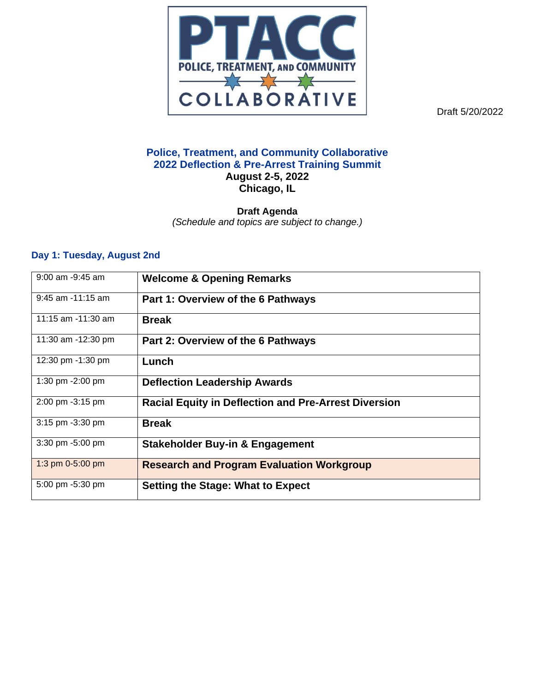

Draft 5/20/2022

## **Police, Treatment, and Community Collaborative 2022 Deflection & Pre-Arrest Training Summit August 2-5, 2022 Chicago, IL**

**Draft Agenda**  *(Schedule and topics are subject to change.)*

## **Day 1: Tuesday, August 2nd**

| $9:00$ am $-9:45$ am  | <b>Welcome &amp; Opening Remarks</b>                        |
|-----------------------|-------------------------------------------------------------|
| $9:45$ am $-11:15$ am | Part 1: Overview of the 6 Pathways                          |
| 11:15 am $-11:30$ am  | <b>Break</b>                                                |
| 11:30 am -12:30 pm    | Part 2: Overview of the 6 Pathways                          |
| 12:30 pm -1:30 pm     | Lunch                                                       |
| 1:30 pm -2:00 pm      | <b>Deflection Leadership Awards</b>                         |
| 2:00 pm -3:15 pm      | <b>Racial Equity in Deflection and Pre-Arrest Diversion</b> |
| 3:15 pm -3:30 pm      | <b>Break</b>                                                |
| 3:30 pm -5:00 pm      | <b>Stakeholder Buy-in &amp; Engagement</b>                  |
| 1:3 pm 0-5:00 pm      | <b>Research and Program Evaluation Workgroup</b>            |
| 5:00 pm -5:30 pm      | <b>Setting the Stage: What to Expect</b>                    |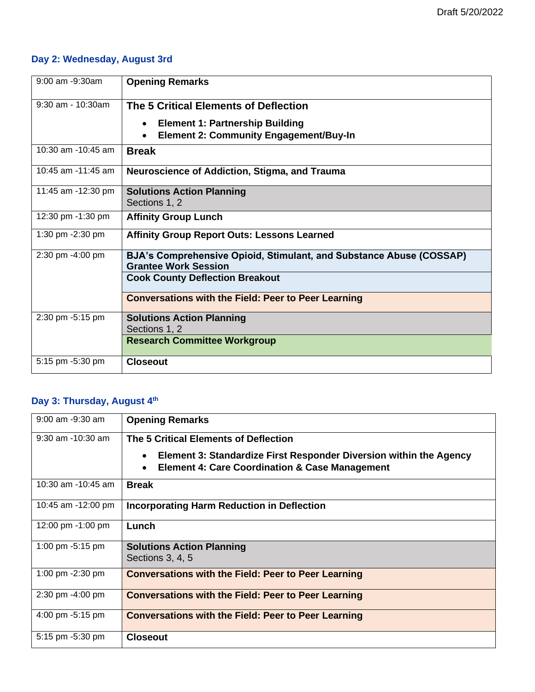# **Day 2: Wednesday, August 3rd**

| $9:00$ am $-9:30$ am | <b>Opening Remarks</b>                                                                                            |
|----------------------|-------------------------------------------------------------------------------------------------------------------|
| $9:30$ am - 10:30am  | The 5 Critical Elements of Deflection                                                                             |
|                      | <b>Element 1: Partnership Building</b><br>$\bullet$<br><b>Element 2: Community Engagement/Buy-In</b><br>$\bullet$ |
| 10:30 am -10:45 am   | <b>Break</b>                                                                                                      |
| 10:45 am -11:45 am   | <b>Neuroscience of Addiction, Stigma, and Trauma</b>                                                              |
| 11:45 am -12:30 pm   | <b>Solutions Action Planning</b><br>Sections 1, 2                                                                 |
| 12:30 pm -1:30 pm    | <b>Affinity Group Lunch</b>                                                                                       |
| 1:30 pm -2:30 pm     | <b>Affinity Group Report Outs: Lessons Learned</b>                                                                |
| 2:30 pm -4:00 pm     | BJA's Comprehensive Opioid, Stimulant, and Substance Abuse (COSSAP)<br><b>Grantee Work Session</b>                |
|                      | <b>Cook County Deflection Breakout</b>                                                                            |
|                      | <b>Conversations with the Field: Peer to Peer Learning</b>                                                        |
| 2:30 pm -5:15 pm     | <b>Solutions Action Planning</b><br>Sections 1, 2                                                                 |
|                      | <b>Research Committee Workgroup</b>                                                                               |
| 5:15 pm -5:30 pm     | <b>Closeout</b>                                                                                                   |

# **Day 3: Thursday, August 4th**

| 9:00 am -9:30 am      | <b>Opening Remarks</b>                                                                                                                       |
|-----------------------|----------------------------------------------------------------------------------------------------------------------------------------------|
| $9:30$ am $-10:30$ am | The 5 Critical Elements of Deflection                                                                                                        |
|                       | Element 3: Standardize First Responder Diversion within the Agency<br>$\bullet$<br><b>Element 4: Care Coordination &amp; Case Management</b> |
| 10:30 am $-10:45$ am  | <b>Break</b>                                                                                                                                 |
| 10:45 am -12:00 pm    | <b>Incorporating Harm Reduction in Deflection</b>                                                                                            |
| 12:00 pm -1:00 pm     | Lunch                                                                                                                                        |
| 1:00 pm -5:15 pm      | <b>Solutions Action Planning</b><br>Sections 3, 4, 5                                                                                         |
| 1:00 pm -2:30 pm      | <b>Conversations with the Field: Peer to Peer Learning</b>                                                                                   |
| 2:30 pm -4:00 pm      | <b>Conversations with the Field: Peer to Peer Learning</b>                                                                                   |
| 4:00 pm -5:15 pm      | <b>Conversations with the Field: Peer to Peer Learning</b>                                                                                   |
| 5:15 pm -5:30 pm      | <b>Closeout</b>                                                                                                                              |